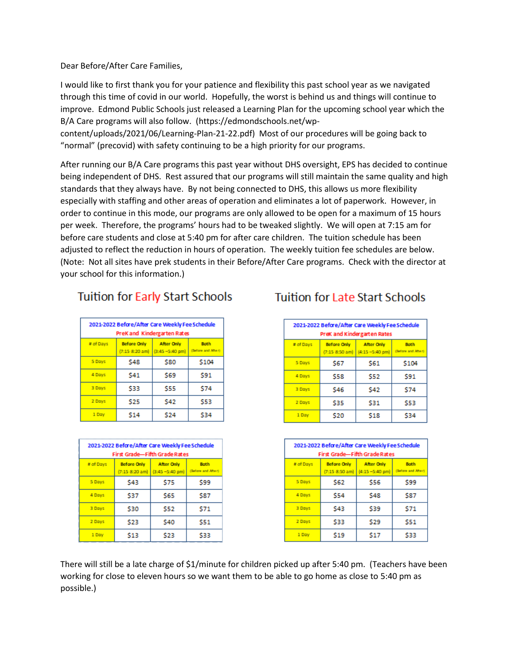Dear Before/After Care Families,

I would like to first thank you for your patience and flexibility this past school year as we navigated through this time of covid in our world. Hopefully, the worst is behind us and things will continue to improve. Edmond Public Schools just released a Learning Plan for the upcoming school year which the B/A Care programs will also follow. (https://edmondschools.net/wp-

content/uploads/2021/06/Learning-Plan-21-22.pdf) Most of our procedures will be going back to "normal" (precovid) with safety continuing to be a high priority for our programs.

After running our B/A Care programs this past year without DHS oversight, EPS has decided to continue being independent of DHS. Rest assured that our programs will still maintain the same quality and high standards that they always have. By not being connected to DHS, this allows us more flexibility especially with staffing and other areas of operation and eliminates a lot of paperwork. However, in order to continue in this mode, our programs are only allowed to be open for a maximum of 15 hours per week. Therefore, the programs' hours had to be tweaked slightly. We will open at 7:15 am for before care students and close at 5:40 pm for after care children. The tuition schedule has been adjusted to reflect the reduction in hours of operation. The weekly tuition fee schedules are below. (Note: Not all sites have prek students in their Before/After Care programs. Check with the director at your school for this information.)

## Tuition for Early Start Schools

| 2021-2022 Before/After Care Weekly Fee Schedule<br>PreKand Kindergarten Rates |                                        |                                          |                                   |  |
|-------------------------------------------------------------------------------|----------------------------------------|------------------------------------------|-----------------------------------|--|
| # of Days                                                                     | <b>Before Only</b><br>(7:15, 8:20, am) | <b>After Only</b><br>$(3:45 - 5:40)$ pm) | <b>Both</b><br>(Before and After) |  |
| 5 Days                                                                        | \$48                                   | <b>S80</b>                               | \$104                             |  |
| 4 Days                                                                        | S41                                    | S69                                      | S91                               |  |
| 3 Days                                                                        | \$33                                   | <b>S55</b>                               | \$74                              |  |
| 2 Days                                                                        | \$25                                   | S42                                      | \$53                              |  |
| 1 Day                                                                         | \$14                                   | S24                                      | \$34                              |  |

| 2021-2022 Before/After Care Weekly Fee Schedule<br><b>First Grade-Fifth Grade Rates</b> |                                                |                                         |                                   |  |  |
|-----------------------------------------------------------------------------------------|------------------------------------------------|-----------------------------------------|-----------------------------------|--|--|
| # of Days                                                                               | <b>Before Only</b><br>$(7:15, 8:20~\text{am})$ | <b>After Only</b><br>$(3.45 - 5.40)$ pm | <b>Both</b><br>(Before and After) |  |  |
| 5 Days                                                                                  | \$43                                           | \$75                                    | \$99                              |  |  |
| 4 Days                                                                                  | S37                                            | <b>S65</b>                              | <b>S87</b>                        |  |  |
| 3 Days                                                                                  | \$30                                           | \$52                                    | \$71                              |  |  |
| 2 Days                                                                                  | \$23                                           | \$40                                    | S51                               |  |  |
| 1 Day                                                                                   | \$13                                           | S23                                     | S33                               |  |  |

## **Tuition for Late Start Schools**

| 2021-2022 Before/After Care Weekly Fee Schedule<br>PreK and Kindergarten Rates |                                      |                                          |                                   |  |  |
|--------------------------------------------------------------------------------|--------------------------------------|------------------------------------------|-----------------------------------|--|--|
| # of Days                                                                      | <b>Before Only</b><br>(7:15 8:50 am) | <b>After Only</b><br>$(4:15 - 5:40)$ pm) | <b>Both</b><br>(Before and After) |  |  |
| 5 Days                                                                         | <b>S67</b>                           | \$61                                     | \$104                             |  |  |
| 4 Days                                                                         | \$58                                 | \$52                                     | S91                               |  |  |
| 3 Days                                                                         | \$46                                 | \$42                                     | <b>S74</b>                        |  |  |
| 2 Days                                                                         | \$35                                 | \$31                                     | \$53                              |  |  |
| 1 Day                                                                          | \$20                                 | \$18                                     | \$34                              |  |  |

| 2021-2022 Before/After Care Weekly Fee Schedule<br><b>First Grade-Fifth Grade Rates</b> |                                      |                                         |                                   |  |
|-----------------------------------------------------------------------------------------|--------------------------------------|-----------------------------------------|-----------------------------------|--|
| # of Days                                                                               | <b>Before Only</b><br>(7:15 8:50 am) | <b>After Only</b><br>$(4:15 - 5:40$ pm) | <b>Both</b><br>(Before and After) |  |
| 5 Days                                                                                  | \$62                                 | \$56                                    | \$99                              |  |
| 4 Days                                                                                  | \$54                                 | \$48                                    | <b>S87</b>                        |  |
| 3 Days                                                                                  | \$43                                 | \$39                                    | \$71                              |  |
| 2 Days                                                                                  | \$33                                 | \$29                                    | \$51                              |  |
| 1 Day                                                                                   | \$19                                 | S17                                     | \$33                              |  |

There will still be a late charge of \$1/minute for children picked up after 5:40 pm. (Teachers have been working for close to eleven hours so we want them to be able to go home as close to 5:40 pm as possible.)